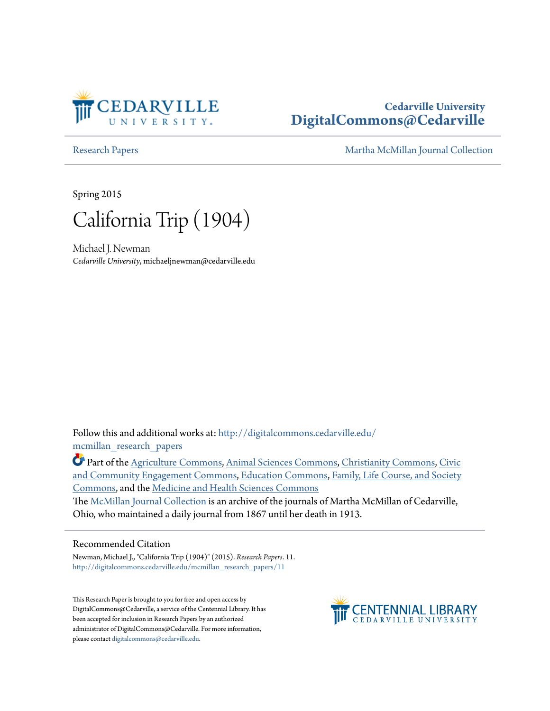

# **Cedarville University [DigitalCommons@Cedarville](http://digitalcommons.cedarville.edu?utm_source=digitalcommons.cedarville.edu%2Fmcmillan_research_papers%2F11&utm_medium=PDF&utm_campaign=PDFCoverPages)**

[Research Papers](http://digitalcommons.cedarville.edu/mcmillan_research_papers?utm_source=digitalcommons.cedarville.edu%2Fmcmillan_research_papers%2F11&utm_medium=PDF&utm_campaign=PDFCoverPages) [Martha McMillan Journal Collection](http://digitalcommons.cedarville.edu/mcmillan_journal_collection?utm_source=digitalcommons.cedarville.edu%2Fmcmillan_research_papers%2F11&utm_medium=PDF&utm_campaign=PDFCoverPages)

Spring 2015



Michael J. Newman *Cedarville University*, michaeljnewman@cedarville.edu

Follow this and additional works at: [http://digitalcommons.cedarville.edu/](http://digitalcommons.cedarville.edu/mcmillan_research_papers?utm_source=digitalcommons.cedarville.edu%2Fmcmillan_research_papers%2F11&utm_medium=PDF&utm_campaign=PDFCoverPages) [mcmillan\\_research\\_papers](http://digitalcommons.cedarville.edu/mcmillan_research_papers?utm_source=digitalcommons.cedarville.edu%2Fmcmillan_research_papers%2F11&utm_medium=PDF&utm_campaign=PDFCoverPages)

Part of the [Agriculture Commons](http://network.bepress.com/hgg/discipline/1076?utm_source=digitalcommons.cedarville.edu%2Fmcmillan_research_papers%2F11&utm_medium=PDF&utm_campaign=PDFCoverPages), [Animal Sciences Commons,](http://network.bepress.com/hgg/discipline/76?utm_source=digitalcommons.cedarville.edu%2Fmcmillan_research_papers%2F11&utm_medium=PDF&utm_campaign=PDFCoverPages) [Christianity Commons](http://network.bepress.com/hgg/discipline/1181?utm_source=digitalcommons.cedarville.edu%2Fmcmillan_research_papers%2F11&utm_medium=PDF&utm_campaign=PDFCoverPages), [Civic](http://network.bepress.com/hgg/discipline/1028?utm_source=digitalcommons.cedarville.edu%2Fmcmillan_research_papers%2F11&utm_medium=PDF&utm_campaign=PDFCoverPages) [and Community Engagement Commons,](http://network.bepress.com/hgg/discipline/1028?utm_source=digitalcommons.cedarville.edu%2Fmcmillan_research_papers%2F11&utm_medium=PDF&utm_campaign=PDFCoverPages) [Education Commons,](http://network.bepress.com/hgg/discipline/784?utm_source=digitalcommons.cedarville.edu%2Fmcmillan_research_papers%2F11&utm_medium=PDF&utm_campaign=PDFCoverPages) [Family, Life Course, and Society](http://network.bepress.com/hgg/discipline/419?utm_source=digitalcommons.cedarville.edu%2Fmcmillan_research_papers%2F11&utm_medium=PDF&utm_campaign=PDFCoverPages) [Commons,](http://network.bepress.com/hgg/discipline/419?utm_source=digitalcommons.cedarville.edu%2Fmcmillan_research_papers%2F11&utm_medium=PDF&utm_campaign=PDFCoverPages) and the [Medicine and Health Sciences Commons](http://network.bepress.com/hgg/discipline/648?utm_source=digitalcommons.cedarville.edu%2Fmcmillan_research_papers%2F11&utm_medium=PDF&utm_campaign=PDFCoverPages)

The [McMillan Journal Collection](http://digitalcommons.cedarville.edu/mcmillan_journal_collection/) is an archive of the journals of Martha McMillan of Cedarville, Ohio, who maintained a daily journal from 1867 until her death in 1913.

### Recommended Citation

Newman, Michael J., "California Trip (1904)" (2015). *Research Papers*. 11. [http://digitalcommons.cedarville.edu/mcmillan\\_research\\_papers/11](http://digitalcommons.cedarville.edu/mcmillan_research_papers/11?utm_source=digitalcommons.cedarville.edu%2Fmcmillan_research_papers%2F11&utm_medium=PDF&utm_campaign=PDFCoverPages)

This Research Paper is brought to you for free and open access by DigitalCommons@Cedarville, a service of the Centennial Library. It has been accepted for inclusion in Research Papers by an authorized administrator of DigitalCommons@Cedarville. For more information, please contact [digitalcommons@cedarville.edu.](mailto:digitalcommons@cedarville.edu)

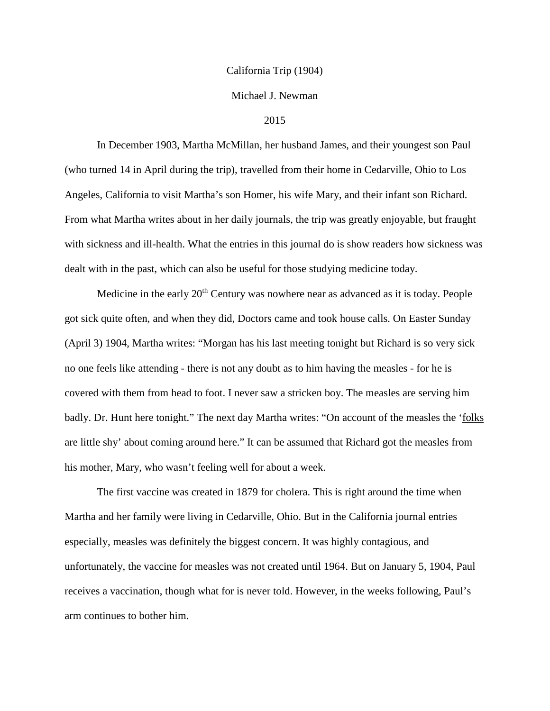#### California Trip (1904)

#### Michael J. Newman

#### 2015

In December 1903, Martha McMillan, her husband James, and their youngest son Paul (who turned 14 in April during the trip), travelled from their home in Cedarville, Ohio to Los Angeles, California to visit Martha's son Homer, his wife Mary, and their infant son Richard. From what Martha writes about in her daily journals, the trip was greatly enjoyable, but fraught with sickness and ill-health. What the entries in this journal do is show readers how sickness was dealt with in the past, which can also be useful for those studying medicine today.

Medicine in the early 20<sup>th</sup> Century was nowhere near as advanced as it is today. People got sick quite often, and when they did, Doctors came and took house calls. On Easter Sunday (April 3) 1904, Martha writes: "Morgan has his last meeting tonight but Richard is so very sick no one feels like attending - there is not any doubt as to him having the measles - for he is covered with them from head to foot. I never saw a stricken boy. The measles are serving him badly. Dr. Hunt here tonight." The next day Martha writes: "On account of the measles the 'folks' are little shy' about coming around here." It can be assumed that Richard got the measles from his mother, Mary, who wasn't feeling well for about a week.

The first vaccine was created in 1879 for cholera. This is right around the time when Martha and her family were living in Cedarville, Ohio. But in the California journal entries especially, measles was definitely the biggest concern. It was highly contagious, and unfortunately, the vaccine for measles was not created until 1964. But on January 5, 1904, Paul receives a vaccination, though what for is never told. However, in the weeks following, Paul's arm continues to bother him.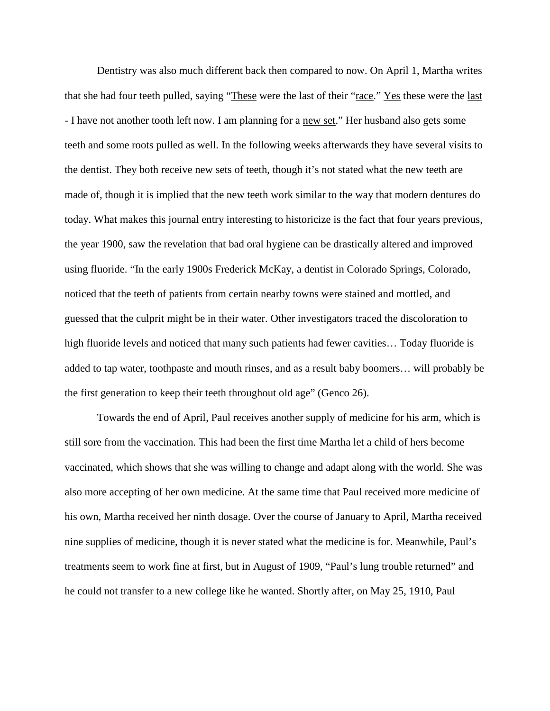Dentistry was also much different back then compared to now. On April 1, Martha writes that she had four teeth pulled, saying "These were the last of their "race." Yes these were the last - I have not another tooth left now. I am planning for a new set." Her husband also gets some teeth and some roots pulled as well. In the following weeks afterwards they have several visits to the dentist. They both receive new sets of teeth, though it's not stated what the new teeth are made of, though it is implied that the new teeth work similar to the way that modern dentures do today. What makes this journal entry interesting to historicize is the fact that four years previous, the year 1900, saw the revelation that bad oral hygiene can be drastically altered and improved using fluoride. "In the early 1900s Frederick McKay, a dentist in Colorado Springs, Colorado, noticed that the teeth of patients from certain nearby towns were stained and mottled, and guessed that the culprit might be in their water. Other investigators traced the discoloration to high fluoride levels and noticed that many such patients had fewer cavities... Today fluoride is added to tap water, toothpaste and mouth rinses, and as a result baby boomers… will probably be the first generation to keep their teeth throughout old age" (Genco 26).

Towards the end of April, Paul receives another supply of medicine for his arm, which is still sore from the vaccination. This had been the first time Martha let a child of hers become vaccinated, which shows that she was willing to change and adapt along with the world. She was also more accepting of her own medicine. At the same time that Paul received more medicine of his own, Martha received her ninth dosage. Over the course of January to April, Martha received nine supplies of medicine, though it is never stated what the medicine is for. Meanwhile, Paul's treatments seem to work fine at first, but in August of 1909, "Paul's lung trouble returned" and he could not transfer to a new college like he wanted. Shortly after, on May 25, 1910, Paul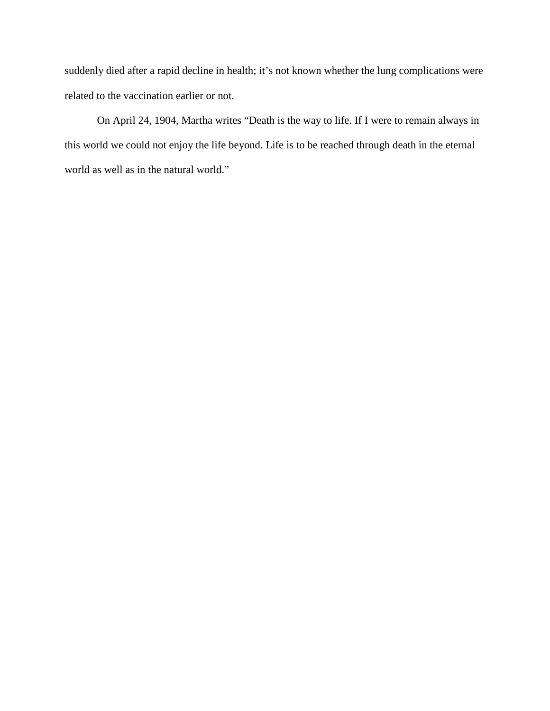suddenly died after a rapid decline in health; it's not known whether the lung complications were related to the vaccination earlier or not.

On April 24, 1904, Martha writes "Death is the way to life. If I were to remain always in this world we could not enjoy the life beyond. Life is to be reached through death in the eternal world as well as in the natural world."